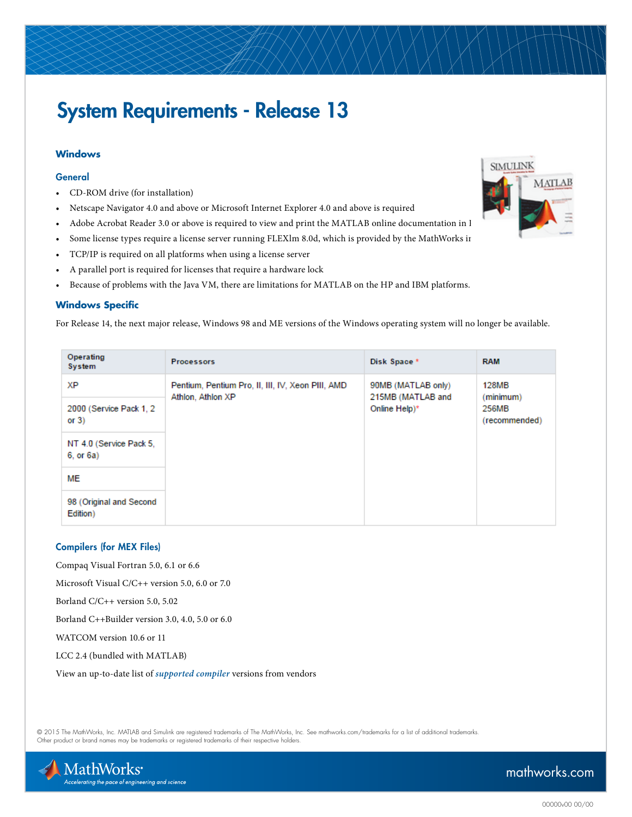# System Requirements - Release 13

## **Windows**

#### **General**

- CD-ROM drive (for installation)
- Netscape Navigator 4.0 and above or Microsoft Internet Explorer 4.0 and above is required
- Adobe Acrobat Reader 3.0 or above is required to view and print the MATLAB online documentation in I
- Some license types require a license server running FLEXlm 8.0d, which is provided by the MathWorks in
- TCP/IP is required on all platforms when using a license server
- A parallel port is required for licenses that require a hardware lock
- Because of problems with the Java VM, there are limitations for MATLAB on the HP and IBM platforms.

#### **Windows Specific**

For Release 14, the next major release, Windows 98 and ME versions of the Windows operating system will no longer be available.

| Operating<br>System                  | <b>Processors</b>                                                      | Disk Space *                                             | <b>RAM</b>                                          |
|--------------------------------------|------------------------------------------------------------------------|----------------------------------------------------------|-----------------------------------------------------|
| ХP                                   | Pentium, Pentium Pro, II, III, IV, Xeon PIII, AMD<br>Athlon, Athlon XP | 90MB (MATLAB only)<br>215MB (MATLAB and<br>Online Help)* | <b>128MB</b><br>(minimum)<br>256MB<br>(recommended) |
| 2000 (Service Pack 1, 2)<br>or $3)$  |                                                                        |                                                          |                                                     |
| NT 4.0 (Service Pack 5,<br>6, or 6a) |                                                                        |                                                          |                                                     |
| ME                                   |                                                                        |                                                          |                                                     |
| 98 (Original and Second<br>Edition)  |                                                                        |                                                          |                                                     |

#### Compilers (for MEX Files)

Compaq Visual Fortran 5.0, 6.1 or 6.6

Microsoft Visual C/C++ version 5.0, 6.0 or 7.0

Borland C/C++ version 5.0, 5.02

Borland C++Builder version 3.0, 4.0, 5.0 or 6.0

WATCOM version 10.6 or 11

LCC 2.4 (bundled with MATLAB)

View an up-to-date list of *[supported compiler](http://www.mathworks.com/support/compilers/current_release/)* versions from vendors

© 2015 The MathWorks, Inc. MATLAB and Simulink are registered trademarks of The MathWorks, Inc. See [mathworks.com/trademarks](http://www.mathworks.com/trademarks) for a list of additional trademarks. Other product or brand names may be trademarks or registered trademarks of their respective holders.





# [mathworks.com](http://www.mathworks.com)